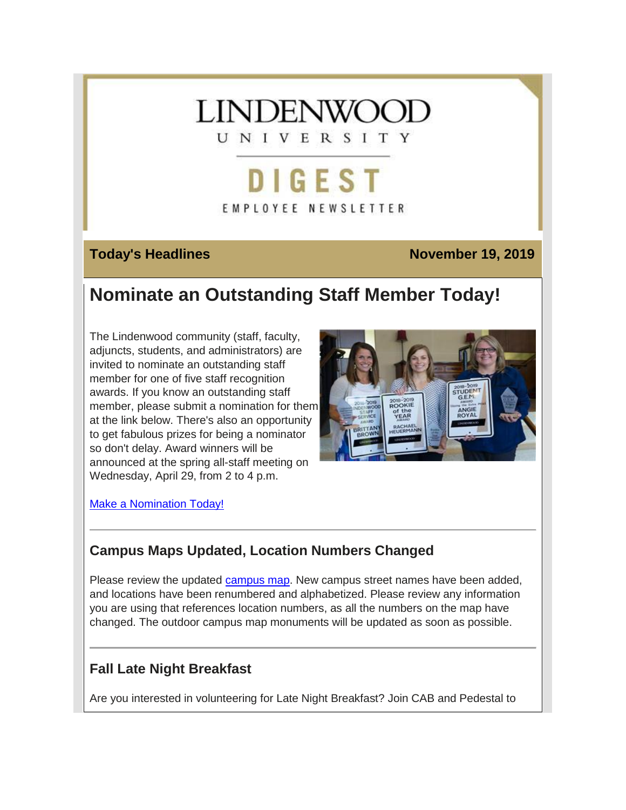

# **DIGEST EMPLOYEE NEWSLETTER**

## **Today's Headlines November 19, 2019**

## **Nominate an Outstanding Staff Member Today!**

The Lindenwood community (staff, faculty, adjuncts, students, and administrators) are invited to nominate an outstanding staff member for one of five staff recognition awards. If you know an outstanding staff member, please submit a nomination for them at the link below. There's also an opportunity to get fabulous prizes for being a nominator so don't delay. Award winners will be announced at the spring all-staff meeting on Wednesday, April 29, from 2 to 4 p.m.



[Make a Nomination Today!](https://hes32-ctp.trendmicro.com/wis/clicktime/v1/query?url=https%3a%2f%2fcustapp.marketvolt.com%2flink%2f9H3ebBhvie%3fCM%3d1422767964%26X%3d70525052&umid=dbbfc0e1-de92-4a43-ba97-a5dc53169a39&auth=bc7ac43e330fa629f0cfb11786c85e83c10d06b8-44a5e761c2c004848988558c7c95bdb1d2cecc51)

## **Campus Maps Updated, Location Numbers Changed**

Please review the updated [campus map.](https://hes32-ctp.trendmicro.com/wis/clicktime/v1/query?url=https%3a%2f%2fcustapp.marketvolt.com%2flink%2fkofXQimVVA%3fCM%3d1422767964%26X%3d70525052&umid=dbbfc0e1-de92-4a43-ba97-a5dc53169a39&auth=bc7ac43e330fa629f0cfb11786c85e83c10d06b8-2d19ca617ac90d61c720a8163a7b2dd09bff4d3f) New campus street names have been added, and locations have been renumbered and alphabetized. Please review any information you are using that references location numbers, as all the numbers on the map have changed. The outdoor campus map monuments will be updated as soon as possible.

## **Fall Late Night Breakfast**

Are you interested in volunteering for Late Night Breakfast? Join CAB and Pedestal to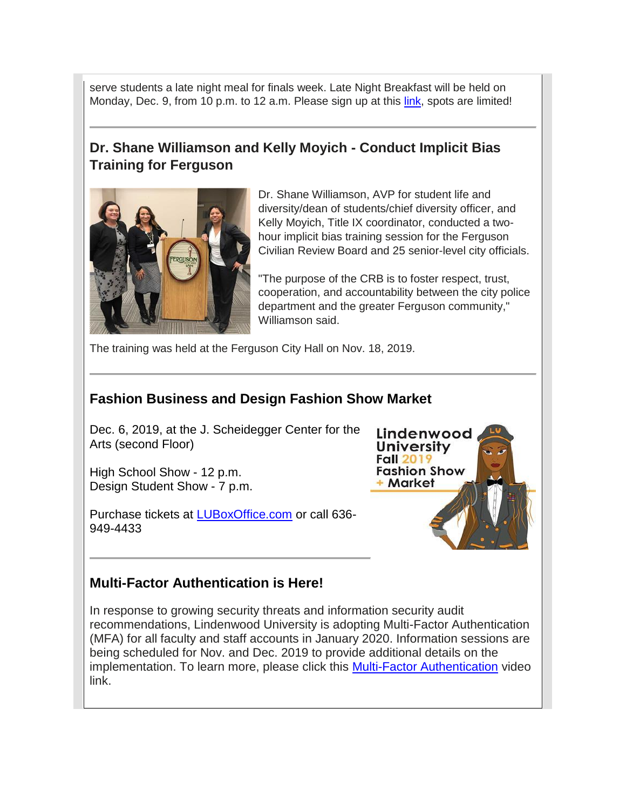serve students a late night meal for finals week. Late Night Breakfast will be held on Monday, Dec. 9, from 10 p.m. to 12 a.m. Please sign up at this [link,](https://hes32-ctp.trendmicro.com/wis/clicktime/v1/query?url=https%3a%2f%2fcustapp.marketvolt.com%2flink%2fsFsPwcm1ck%3fCM%3d1422767964%26X%3d70525052&umid=dbbfc0e1-de92-4a43-ba97-a5dc53169a39&auth=bc7ac43e330fa629f0cfb11786c85e83c10d06b8-289ea25a850e8c1366f2249a1eacd2b0bd008821) spots are limited!

## **Dr. Shane Williamson and Kelly Moyich - Conduct Implicit Bias Training for Ferguson**



Dr. Shane Williamson, AVP for student life and diversity/dean of students/chief diversity officer, and Kelly Moyich, Title IX coordinator, conducted a twohour implicit bias training session for the Ferguson Civilian Review Board and 25 senior-level city officials.

"The purpose of the CRB is to foster respect, trust, cooperation, and accountability between the city police department and the greater Ferguson community," Williamson said.

The training was held at the Ferguson City Hall on Nov. 18, 2019.

## **Fashion Business and Design Fashion Show Market**

Dec. 6, 2019, at the J. Scheidegger Center for the Arts (second Floor)

High School Show - 12 p.m. Design Student Show - 7 p.m.

Purchase tickets at [LUBoxOffice.com](https://hes32-ctp.trendmicro.com/wis/clicktime/v1/query?url=https%3a%2f%2fcustapp.marketvolt.com%2flink%2fmk43ifpVZn%3fCM%3d1422767964%26X%3d70525052&umid=dbbfc0e1-de92-4a43-ba97-a5dc53169a39&auth=bc7ac43e330fa629f0cfb11786c85e83c10d06b8-5592b97d5abed8c15d83c249aea7b8823ef0ff13) or call 636- 949-4433



#### **Multi-Factor Authentication is Here!**

In response to growing security threats and information security audit recommendations, Lindenwood University is adopting Multi-Factor Authentication (MFA) for all faculty and staff accounts in January 2020. Information sessions are being scheduled for Nov. and Dec. 2019 to provide additional details on the implementation. To learn more, please click this Multi-Factor [Authentication](https://hes32-ctp.trendmicro.com/wis/clicktime/v1/query?url=https%3a%2f%2fcustapp.marketvolt.com%2flink%2f2Z5zd3tcVe%3fCM%3d1422767964%26X%3d70525052&umid=dbbfc0e1-de92-4a43-ba97-a5dc53169a39&auth=bc7ac43e330fa629f0cfb11786c85e83c10d06b8-caafec3251f4905cd5778e85b7debae687978389) video link.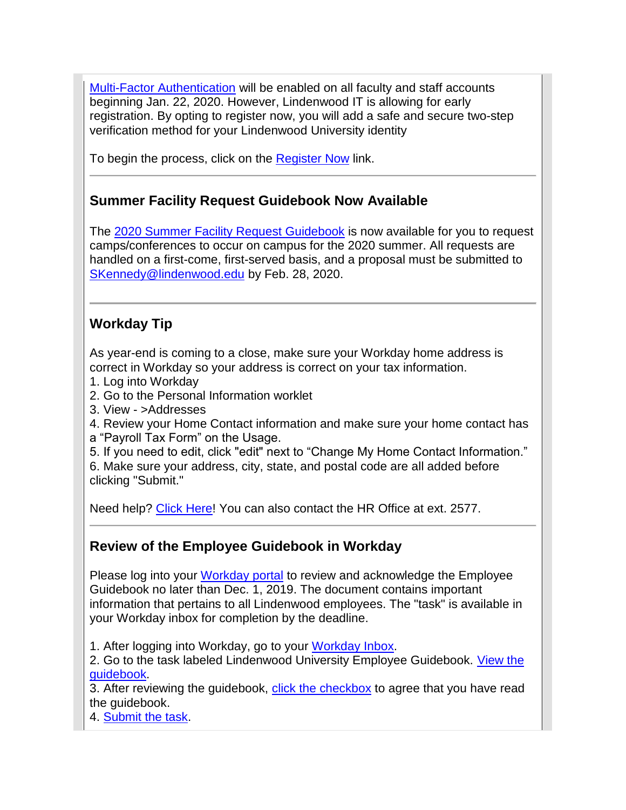Multi-Factor [Authentication](https://hes32-ctp.trendmicro.com/wis/clicktime/v1/query?url=https%3a%2f%2fcustapp.marketvolt.com%2flink%2fTe3xmpe1AQ%3fCM%3d1422767964%26X%3d70525052&umid=dbbfc0e1-de92-4a43-ba97-a5dc53169a39&auth=bc7ac43e330fa629f0cfb11786c85e83c10d06b8-62e45188c4abc242a3fedf59f81ffb8b9b05cc68) will be enabled on all faculty and staff accounts beginning Jan. 22, 2020. However, Lindenwood IT is allowing for early registration. By opting to register now, you will add a safe and secure two-step verification method for your Lindenwood University identity

To begin the process, click on the [Register](https://hes32-ctp.trendmicro.com/wis/clicktime/v1/query?url=https%3a%2f%2fcustapp.marketvolt.com%2flink%2flg1aBTcZxn%3fCM%3d1422767964%26X%3d70525052&umid=dbbfc0e1-de92-4a43-ba97-a5dc53169a39&auth=bc7ac43e330fa629f0cfb11786c85e83c10d06b8-6f802503ad5370eaf76877aafda1de26d5e5aa60) Now link.

## **Summer Facility Request Guidebook Now Available**

The [2020 Summer Facility Request Guidebook](https://hes32-ctp.trendmicro.com/wis/clicktime/v1/query?url=https%3a%2f%2fcustapp.marketvolt.com%2flink%2fSicriywxR3%3fCM%3d1422767964%26X%3d70525052&umid=dbbfc0e1-de92-4a43-ba97-a5dc53169a39&auth=bc7ac43e330fa629f0cfb11786c85e83c10d06b8-19f327aaffda13cc0940051b6de088db10bf2d08) is now available for you to request camps/conferences to occur on campus for the 2020 summer. All requests are handled on a first-come, first-served basis, and a proposal must be submitted to [SKennedy@lindenwood.edu](mailto:SKennedy@lindenwood.edu) by Feb. 28, 2020.

## **Workday Tip**

As year-end is coming to a close, make sure your Workday home address is correct in Workday so your address is correct on your tax information.

- 1. Log into Workday
- 2. Go to the Personal Information worklet
- 3. View >Addresses
- 4. Review your Home Contact information and make sure your home contact has
- a "Payroll Tax Form" on the Usage.

5. If you need to edit, click "edit" next to "Change My Home Contact Information." 6. Make sure your address, city, state, and postal code are all added before clicking "Submit."

Need help? [Click Here!](https://hes32-ctp.trendmicro.com/wis/clicktime/v1/query?url=https%3a%2f%2fcustapp.marketvolt.com%2flink%2ft1Ia3M5fPD%3fCM%3d1422767964%26X%3d70525052&umid=dbbfc0e1-de92-4a43-ba97-a5dc53169a39&auth=bc7ac43e330fa629f0cfb11786c85e83c10d06b8-312f349611319994ed124b7088c2f9db817a08f3) You can also contact the HR Office at ext. 2577.

## **Review of the Employee Guidebook in Workday**

Please log into your [Workday portal](https://hes32-ctp.trendmicro.com/wis/clicktime/v1/query?url=https%3a%2f%2fcustapp.marketvolt.com%2flink%2fHUAFPZFqaG%3fCM%3d1422767964%26X%3d70525052&umid=dbbfc0e1-de92-4a43-ba97-a5dc53169a39&auth=bc7ac43e330fa629f0cfb11786c85e83c10d06b8-01afe19adc3da3d8dd89383a5028e4c7fec228d3) to review and acknowledge the Employee Guidebook no later than Dec. 1, 2019. The document contains important information that pertains to all Lindenwood employees. The "task" is available in your Workday inbox for completion by the deadline.

1. After logging into Workday, go to your [Workday Inbox.](https://hes32-ctp.trendmicro.com/wis/clicktime/v1/query?url=https%3a%2f%2fcustapp.marketvolt.com%2flink%2fZiFiZloNc8%3fCM%3d1422767964%26X%3d70525052&umid=dbbfc0e1-de92-4a43-ba97-a5dc53169a39&auth=bc7ac43e330fa629f0cfb11786c85e83c10d06b8-07b8803dc5f1282e6d9a0f75a0d95098b09e5fff)

2. Go to the task labeled Lindenwood University Employee Guidebook. [View the](https://hes32-ctp.trendmicro.com/wis/clicktime/v1/query?url=https%3a%2f%2fcustapp.marketvolt.com%2flink%2feMDLlF1LTn%3fCM%3d1422767964%26X%3d70525052&umid=dbbfc0e1-de92-4a43-ba97-a5dc53169a39&auth=bc7ac43e330fa629f0cfb11786c85e83c10d06b8-9dc22de75fa872aeb1bb6c1f3015015c4b691451)  [guidebook.](https://hes32-ctp.trendmicro.com/wis/clicktime/v1/query?url=https%3a%2f%2fcustapp.marketvolt.com%2flink%2feMDLlF1LTn%3fCM%3d1422767964%26X%3d70525052&umid=dbbfc0e1-de92-4a43-ba97-a5dc53169a39&auth=bc7ac43e330fa629f0cfb11786c85e83c10d06b8-9dc22de75fa872aeb1bb6c1f3015015c4b691451)

3. After reviewing the guidebook, [click the checkbox](https://hes32-ctp.trendmicro.com/wis/clicktime/v1/query?url=https%3a%2f%2fcustapp.marketvolt.com%2flink%2feMDLlF1LTn%3fCM%3d1422767964%26X%3d70525052&umid=dbbfc0e1-de92-4a43-ba97-a5dc53169a39&auth=bc7ac43e330fa629f0cfb11786c85e83c10d06b8-9dc22de75fa872aeb1bb6c1f3015015c4b691451) to agree that you have read the guidebook.

4. [Submit the task.](https://hes32-ctp.trendmicro.com/wis/clicktime/v1/query?url=https%3a%2f%2fcustapp.marketvolt.com%2flink%2feMDLlF1LTn%3fCM%3d1422767964%26X%3d70525052&umid=dbbfc0e1-de92-4a43-ba97-a5dc53169a39&auth=bc7ac43e330fa629f0cfb11786c85e83c10d06b8-9dc22de75fa872aeb1bb6c1f3015015c4b691451)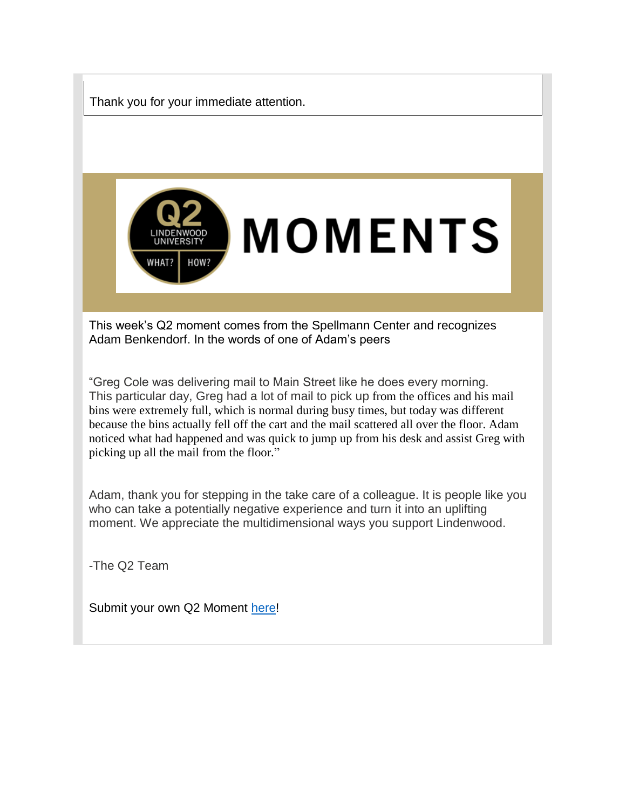

This particular day, Greg had a lot of mail to pick up from the offices and his mail bins were extremely full, which is normal during busy times, but today was different because the bins actually fell off the cart and the mail scattered all over the floor. Adam noticed what had happened and was quick to jump up from his desk and assist Greg with picking up all the mail from the floor."

Adam, thank you for stepping in the take care of a colleague. It is people like you who can take a potentially negative experience and turn it into an uplifting moment. We appreciate the multidimensional ways you support Lindenwood.

-The Q2 Team

Submit your own Q2 Moment [here!](https://hes32-ctp.trendmicro.com/wis/clicktime/v1/query?url=https%3a%2f%2fcustapp.marketvolt.com%2flink%2f3hAL7imblF%3fCM%3d1422767964%26X%3d70525052&umid=dbbfc0e1-de92-4a43-ba97-a5dc53169a39&auth=bc7ac43e330fa629f0cfb11786c85e83c10d06b8-2978d60ce2d1d40b3cdb9b1532912e680213f57f)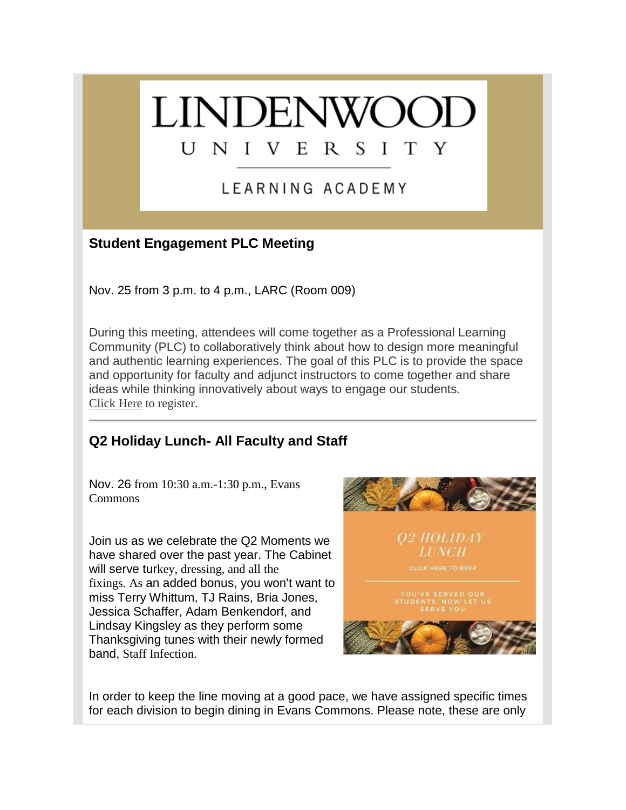## **LINDENWOC** UNIVERSI T. Y

## LEARNING ACADEMY

## **Student Engagement PLC Meeting**

Nov. 25 from 3 p.m. to 4 p.m., LARC (Room 009)

During this meeting, attendees will come together as a Professional Learning Community (PLC) to collaboratively think about how to design more meaningful and authentic learning experiences. The goal of this PLC is to provide the space and opportunity for faculty and adjunct instructors to come together and share ideas while thinking innovatively about ways to engage our students. [Click Here](https://hes32-ctp.trendmicro.com/wis/clicktime/v1/query?url=https%3a%2f%2fcustapp.marketvolt.com%2flink%2f5weobY4iMR%3fCM%3d1422767964%26X%3d70525052&umid=dbbfc0e1-de92-4a43-ba97-a5dc53169a39&auth=bc7ac43e330fa629f0cfb11786c85e83c10d06b8-f9aa4e9aa54b980c968b1c4d089a69c352ec7996) to register.

## **Q2 Holiday Lunch- All Faculty and Staff**

Nov. 26 from 10:30 a.m.-1:30 p.m., Evans Commons

Join us as we celebrate the Q2 Moments we have shared over the past year. The Cabinet will serve turkey, dressing, and all the fixings. As an added bonus, you won't want to miss Terry Whittum, TJ Rains, Bria Jones, Jessica Schaffer, Adam Benkendorf, and Lindsay Kingsley as they perform some Thanksgiving tunes with their newly formed band, Staff Infection.



In order to keep the line moving at a good pace, we have assigned specific times for each division to begin dining in Evans Commons. Please note, these are only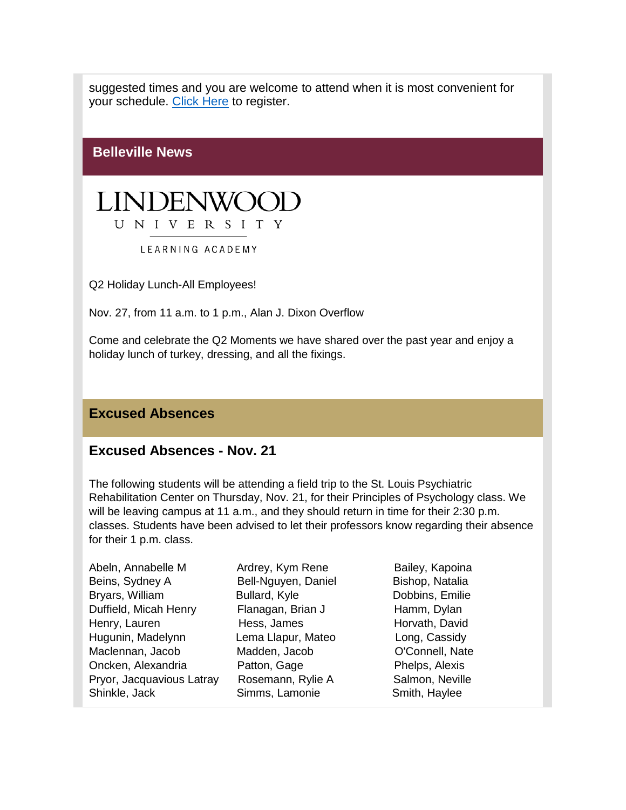suggested times and you are welcome to attend when it is most convenient for your schedule. [Click Here](https://hes32-ctp.trendmicro.com/wis/clicktime/v1/query?url=https%3a%2f%2fcustapp.marketvolt.com%2flink%2fFoqIbo6XSk%3fCM%3d1422767964%26X%3d70525052&umid=dbbfc0e1-de92-4a43-ba97-a5dc53169a39&auth=bc7ac43e330fa629f0cfb11786c85e83c10d06b8-368ca481176e746583a8ab11c852f46844f5617f) to register.

**Belleville News**



LEARNING ACADEMY

Q2 Holiday Lunch-All Employees!

Nov. 27, from 11 a.m. to 1 p.m., Alan J. Dixon Overflow

Come and celebrate the Q2 Moments we have shared over the past year and enjoy a holiday lunch of turkey, dressing, and all the fixings.

#### **Excused Absences**

#### **Excused Absences - Nov. 21**

The following students will be attending a field trip to the St. Louis Psychiatric Rehabilitation Center on Thursday, Nov. 21, for their Principles of Psychology class. We will be leaving campus at 11 a.m., and they should return in time for their 2:30 p.m. classes. Students have been advised to let their professors know regarding their absence for their 1 p.m. class.

| Abeln, Annabelle M        |  |
|---------------------------|--|
| Beins, Sydney A           |  |
| Bryars, William           |  |
| Duffield, Micah Henry     |  |
| Henry, Lauren             |  |
| Hugunin, Madelynn         |  |
| Maclennan, Jacob          |  |
| Oncken, Alexandria        |  |
| Pryor, Jacquavious Latray |  |
| Shinkle, Jack             |  |
|                           |  |

Bell-Nguyen, Daniel Bishop, Natalia Bullard, Kyle **Dobbins**, Emilie Flanagan, Brian J Hamm, Dylan Hess, James Horvath, David Lema Llapur, Mateo Long, Cassidy Madden, Jacob **O'Connell**, Nate Patton, Gage **Phelps, Alexis** Rosemann, Rylie A Salmon, Neville Simms, Lamonie Smith, Haylee

Ardrey, Kym Rene Bailey, Kapoina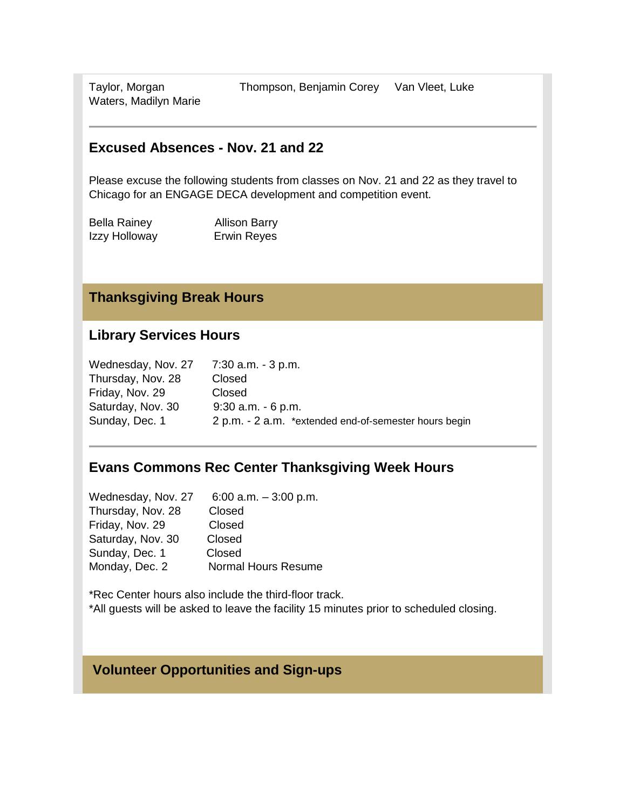Waters, Madilyn Marie

#### **Excused Absences - Nov. 21 and 22**

Please excuse the following students from classes on Nov. 21 and 22 as they travel to Chicago for an ENGAGE DECA development and competition event.

| <b>Bella Rainey</b> | <b>Allison Barry</b> |
|---------------------|----------------------|
| Izzy Holloway       | Erwin Reyes          |

#### **Thanksgiving Break Hours**

#### **Library Services Hours**

| Wednesday, Nov. 27 | 7:30 a.m. - 3 p.m.                                    |
|--------------------|-------------------------------------------------------|
| Thursday, Nov. 28  | Closed                                                |
| Friday, Nov. 29    | Closed                                                |
| Saturday, Nov. 30  | $9:30$ a.m. $-6$ p.m.                                 |
| Sunday, Dec. 1     | 2 p.m. - 2 a.m. *extended end-of-semester hours begin |

## **Evans Commons Rec Center Thanksgiving Week Hours**

Wednesday, Nov. 27 6:00 a.m. – 3:00 p.m. Thursday, Nov. 28 Closed Friday, Nov. 29 Closed Saturday, Nov. 30 Closed Sunday, Dec. 1 Closed Monday, Dec. 2 Normal Hours Resume

\*Rec Center hours also include the third-floor track. \*All guests will be asked to leave the facility 15 minutes prior to scheduled closing.

#### **Volunteer Opportunities and Sign-ups**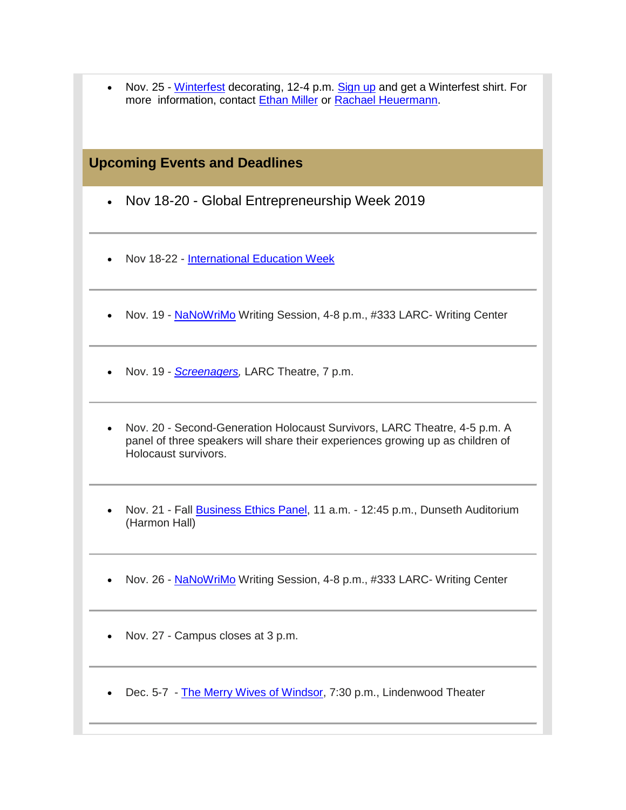| • Nov. 25 - Winterfest decorating, 12-4 p.m. Sign up and get a Winterfest shirt. For |
|--------------------------------------------------------------------------------------|
| more information, contact Ethan Miller or Rachael Heuermann.                         |

#### **Upcoming Events and Deadlines**

- Nov 18-20 Global Entrepreneurship Week 2019
- Nov 18-22 [International Education Week](https://hes32-ctp.trendmicro.com/wis/clicktime/v1/query?url=https%3a%2f%2fcustapp.marketvolt.com%2flink%2fT1KfEDIuwh%3fCM%3d1422767964%26X%3d70525052&umid=dbbfc0e1-de92-4a43-ba97-a5dc53169a39&auth=bc7ac43e330fa629f0cfb11786c85e83c10d06b8-96fe77394a9f01092484935aa554ef7cecee217f)
- Nov. 19 [NaNoWriMo](https://hes32-ctp.trendmicro.com/wis/clicktime/v1/query?url=https%3a%2f%2fcustapp.marketvolt.com%2flink%2f13iVZm3cLW%3fCM%3d1422767964%26X%3d70525052&umid=dbbfc0e1-de92-4a43-ba97-a5dc53169a39&auth=bc7ac43e330fa629f0cfb11786c85e83c10d06b8-e79650dd75a253a41030e9a4752bd86fe944bed0) Writing Session, 4-8 p.m., #333 LARC- Writing Center
- Nov. 19 *[Screenagers,](https://hes32-ctp.trendmicro.com/wis/clicktime/v1/query?url=https%3a%2f%2fcustapp.marketvolt.com%2flink%2fIKsrV73bNB%3fCM%3d1422767964%26X%3d70525052&umid=dbbfc0e1-de92-4a43-ba97-a5dc53169a39&auth=bc7ac43e330fa629f0cfb11786c85e83c10d06b8-4111c0baa11aa9a44b27a37eb15cfa992690ad2a)* LARC Theatre, 7 p.m.
- Nov. 20 Second-Generation Holocaust Survivors, LARC Theatre, 4-5 p.m. A panel of three speakers will share their experiences growing up as children of Holocaust survivors.
- Nov. 21 Fall [Business Ethics Panel,](https://hes32-ctp.trendmicro.com/wis/clicktime/v1/query?url=https%3a%2f%2fcustapp.marketvolt.com%2flink%2fkQdDUDpGqp%3fCM%3d1422767964%26X%3d70525052&umid=dbbfc0e1-de92-4a43-ba97-a5dc53169a39&auth=bc7ac43e330fa629f0cfb11786c85e83c10d06b8-1860fcee5d750a80b654a11931b8afdcc18e8ff5) 11 a.m. 12:45 p.m., Dunseth Auditorium (Harmon Hall)
- Nov. 26 [NaNoWriMo](https://hes32-ctp.trendmicro.com/wis/clicktime/v1/query?url=https%3a%2f%2fcustapp.marketvolt.com%2flink%2f13iVZm3cLW%3fCM%3d1422767964%26X%3d70525052&umid=dbbfc0e1-de92-4a43-ba97-a5dc53169a39&auth=bc7ac43e330fa629f0cfb11786c85e83c10d06b8-e79650dd75a253a41030e9a4752bd86fe944bed0) Writing Session, 4-8 p.m., #333 LARC- Writing Center
- Nov. 27 Campus closes at 3 p.m.
- Dec. 5-7 [The Merry Wives of Windsor,](https://hes32-ctp.trendmicro.com/wis/clicktime/v1/query?url=https%3a%2f%2fcustapp.marketvolt.com%2flink%2f5gNW2tcvLQ%3fCM%3d1422767964%26X%3d70525052&umid=dbbfc0e1-de92-4a43-ba97-a5dc53169a39&auth=bc7ac43e330fa629f0cfb11786c85e83c10d06b8-29288a390f207dbacdd0b3f3e8b30c0890d410c1) 7:30 p.m., Lindenwood Theater